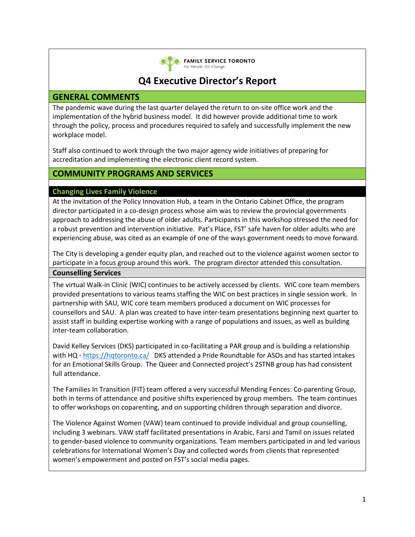

**EXAMILY SERVICE TORONTO** For People. For Change.

# **Q4 Executive Director's Report**

# **GENERAL COMMENTS**

The pandemic wave during the last quarter delayed the return to on-site office work and the implementation of the hybrid business model. It did however provide additional time to work through the policy, process and procedures required to safely and successfully implement the new workplace model.

Staff also continued to work through the two major agency wide initiatives of preparing for accreditation and implementing the electronic client record system.

# **COMMUNITY PROGRAMS AND SERVICES**

## **Changing Lives Family Violence**

At the invitation of the Policy Innovation Hub, a team in the Ontario Cabinet Office, the program director participated in a co-design process whose aim was to review the provincial governments approach to addressing the abuse of older adults. Participants in this workshop stressed the need for a robust prevention and intervention initiative. Pat's Place, FST' safe haven for older adults who are experiencing abuse, was cited as an example of one of the ways government needs to move forward.

The City is developing a gender equity plan, and reached out to the violence against women sector to participate in a focus group around this work. The program director attended this consultation. **Counselling Services**

The virtual Walk-in Clinic (WIC) continues to be actively accessed by clients. WIC core team members provided presentations to various teams staffing the WIC on best practices in single session work. In partnership with SAU, WIC core team members produced a document on WIC processes for counsellors and SAU. A plan was created to have inter-team presentations beginning next quarter to assist staff in building expertise working with a range of populations and issues, as well as building inter-team collaboration.

David Kelley Services (DKS) participated in co-facilitating a PAR group and is building a relationship with HQ [- https://hqtoronto.ca/](https://hqtoronto.ca/) DKS attended a Pride Roundtable for ASOs and has started intakes for an Emotional Skills Group. The Queer and Connected project's 2STNB group has had consistent full attendance.

The Families In Transition (FIT) team offered a very successful Mending Fences: Co-parenting Group, both in terms of attendance and positive shifts experienced by group members. The team continues to offer workshops on coparenting, and on supporting children through separation and divorce.

The Violence Against Women (VAW) team continued to provide individual and group counselling, including 3 webinars. VAW staff facilitated presentations in Arabic, Farsi and Tamil on issues related to gender-based violence to community organizations. Team members participated in and led various celebrations for International Women's Day and collected words from clients that represented women's empowerment and posted on FST's social media pages.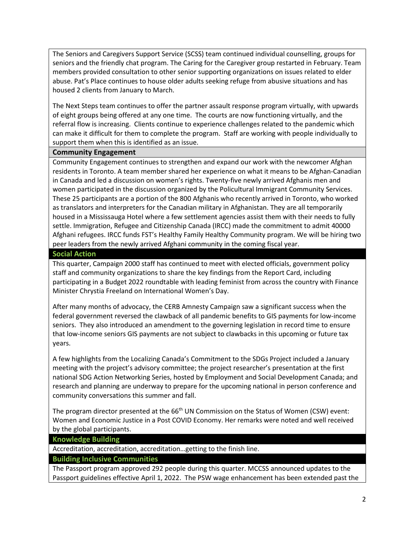The Seniors and Caregivers Support Service (SCSS) team continued individual counselling, groups for seniors and the friendly chat program. The Caring for the Caregiver group restarted in February. Team members provided consultation to other senior supporting organizations on issues related to elder abuse. Pat's Place continues to house older adults seeking refuge from abusive situations and has housed 2 clients from January to March.

The Next Steps team continues to offer the partner assault response program virtually, with upwards of eight groups being offered at any one time. The courts are now functioning virtually, and the referral flow is increasing. Clients continue to experience challenges related to the pandemic which can make it difficult for them to complete the program. Staff are working with people individually to support them when this is identified as an issue.

### **Community Engagement**

Community Engagement continues to strengthen and expand our work with the newcomer Afghan residents in Toronto. A team member shared her experience on what it means to be Afghan-Canadian in Canada and led a discussion on women's rights. Twenty-five newly arrived Afghanis men and women participated in the discussion organized by the Policultural Immigrant Community Services. These 25 participants are a portion of the 800 Afghanis who recently arrived in Toronto, who worked as translators and interpreters for the Canadian military in Afghanistan. They are all temporarily housed in a Mississauga Hotel where a few settlement agencies assist them with their needs to fully settle. Immigration, Refugee and Citizenship Canada (IRCC) made the commitment to admit 40000 Afghani refugees. IRCC funds FST's Healthy Family Healthy Community program. We will be hiring two peer leaders from the newly arrived Afghani community in the coming fiscal year.

#### **Social Action**

This quarter, Campaign 2000 staff has continued to meet with elected officials, government policy staff and community organizations to share the key findings from the Report Card, including participating in a Budget 2022 roundtable with leading feminist from across the country with Finance Minister Chrystia Freeland on International Women's Day.

After many months of advocacy, the CERB Amnesty Campaign saw a significant success when the federal government reversed the clawback of all pandemic benefits to GIS payments for low-income seniors. They also introduced an amendment to the governing legislation in record time to ensure that low-income seniors GIS payments are not subject to clawbacks in this upcoming or future tax years.

A few highlights from the Localizing Canada's Commitment to the SDGs Project included a January meeting with the project's advisory committee; the project researcher's presentation at the first national SDG Action Networking Series, hosted by Employment and Social Development Canada; and research and planning are underway to prepare for the upcoming national in person conference and community conversations this summer and fall.

The program director presented at the  $66<sup>th</sup>$  UN Commission on the Status of Women (CSW) event: Women and Economic Justice in a Post COVID Economy. Her remarks were noted and well received by the global participants.

#### **Knowledge Building**

Accreditation, accreditation, accreditation…getting to the finish line.

## **Building Inclusive Communities**

The Passport program approved 292 people during this quarter. MCCSS announced updates to the Passport guidelines effective April 1, 2022. The PSW wage enhancement has been extended past the